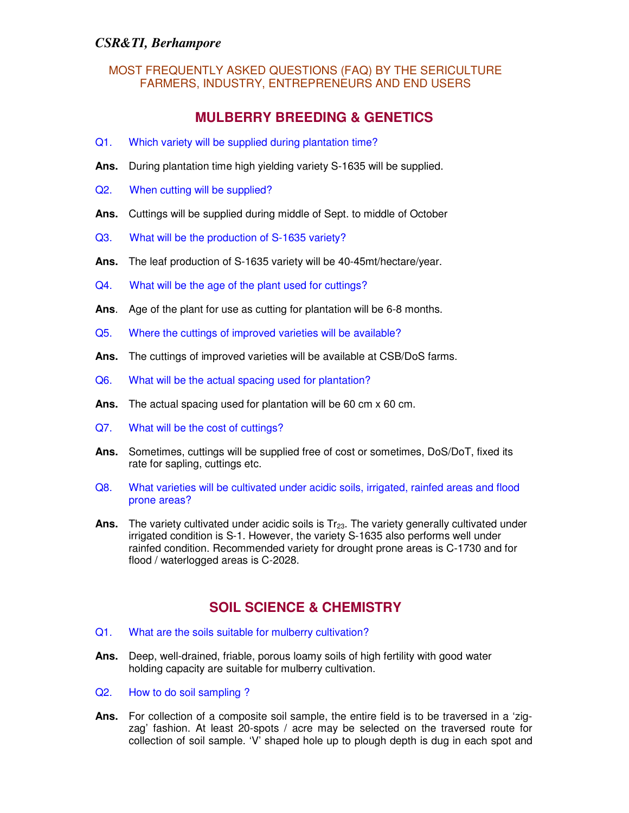# **MULBERRY BREEDING & GENETICS**

- Q1. Which variety will be supplied during plantation time?
- **Ans.** During plantation time high yielding variety S-1635 will be supplied.
- Q2. When cutting will be supplied?
- **Ans.** Cuttings will be supplied during middle of Sept. to middle of October
- Q3. What will be the production of S-1635 variety?
- **Ans.** The leaf production of S-1635 variety will be 40-45mt/hectare/year.
- Q4. What will be the age of the plant used for cuttings?
- **Ans**. Age of the plant for use as cutting for plantation will be 6-8 months.
- Q5. Where the cuttings of improved varieties will be available?
- **Ans.** The cuttings of improved varieties will be available at CSB/DoS farms.
- Q6. What will be the actual spacing used for plantation?
- **Ans.** The actual spacing used for plantation will be 60 cm x 60 cm.
- Q7. What will be the cost of cuttings?
- **Ans.** Sometimes, cuttings will be supplied free of cost or sometimes, DoS/DoT, fixed its rate for sapling, cuttings etc.
- Q8. What varieties will be cultivated under acidic soils, irrigated, rainfed areas and flood prone areas?
- Ans. The variety cultivated under acidic soils is Tr<sub>23</sub>. The variety generally cultivated under irrigated condition is S-1. However, the variety S-1635 also performs well under rainfed condition. Recommended variety for drought prone areas is C-1730 and for flood / waterlogged areas is C-2028.

## **SOIL SCIENCE & CHEMISTRY**

- Q1. What are the soils suitable for mulberry cultivation?
- **Ans.** Deep, well-drained, friable, porous loamy soils of high fertility with good water holding capacity are suitable for mulberry cultivation.
- Q2. How to do soil sampling ?
- **Ans.** For collection of a composite soil sample, the entire field is to be traversed in a 'zigzag' fashion. At least 20-spots / acre may be selected on the traversed route for collection of soil sample. 'V' shaped hole up to plough depth is dug in each spot and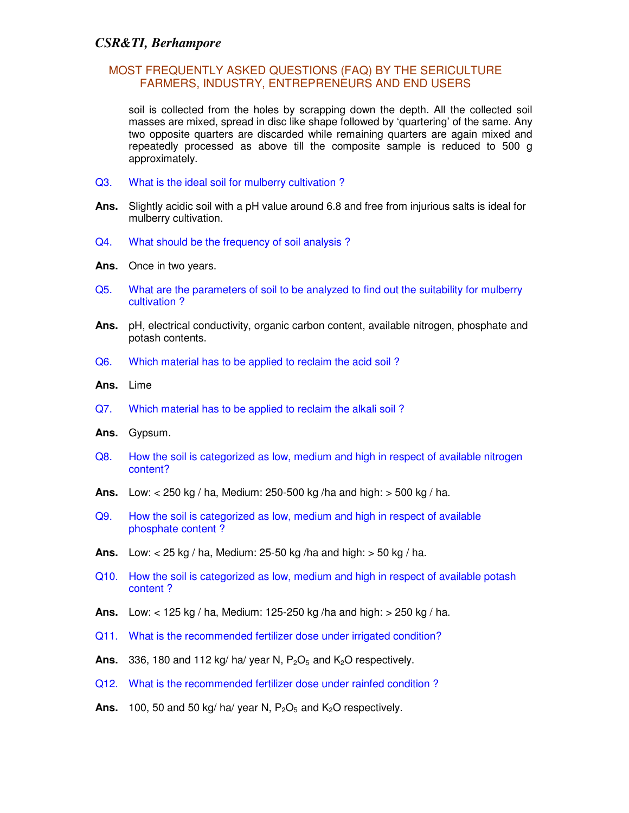#### MOST FREQUENTLY ASKED QUESTIONS (FAQ) BY THE SERICULTURE FARMERS, INDUSTRY, ENTREPRENEURS AND END USERS

soil is collected from the holes by scrapping down the depth. All the collected soil masses are mixed, spread in disc like shape followed by 'quartering' of the same. Any two opposite quarters are discarded while remaining quarters are again mixed and repeatedly processed as above till the composite sample is reduced to 500 g approximately.

- Q3. What is the ideal soil for mulberry cultivation ?
- **Ans.** Slightly acidic soil with a pH value around 6.8 and free from injurious salts is ideal for mulberry cultivation.
- Q4. What should be the frequency of soil analysis ?
- **Ans.** Once in two years.
- Q5. What are the parameters of soil to be analyzed to find out the suitability for mulberry cultivation ?
- **Ans.** pH, electrical conductivity, organic carbon content, available nitrogen, phosphate and potash contents.
- Q6. Which material has to be applied to reclaim the acid soil ?
- **Ans.** Lime
- Q7. Which material has to be applied to reclaim the alkali soil ?
- **Ans.** Gypsum.
- Q8. How the soil is categorized as low, medium and high in respect of available nitrogen content?
- **Ans.** Low: < 250 kg / ha, Medium: 250-500 kg /ha and high: > 500 kg / ha.
- Q9. How the soil is categorized as low, medium and high in respect of available phosphate content ?
- **Ans.** Low: < 25 kg / ha, Medium: 25-50 kg /ha and high: > 50 kg / ha.
- Q10. How the soil is categorized as low, medium and high in respect of available potash content ?
- **Ans.** Low: < 125 kg / ha, Medium: 125-250 kg /ha and high: > 250 kg / ha.
- Q11. What is the recommended fertilizer dose under irrigated condition?
- **Ans.** 336, 180 and 112 kg/ ha/ year N,  $P_2O_5$  and  $K_2O$  respectively.
- Q12. What is the recommended fertilizer dose under rainfed condition ?
- **Ans.** 100, 50 and 50 kg/ ha/ year N,  $P_2O_5$  and  $K_2O$  respectively.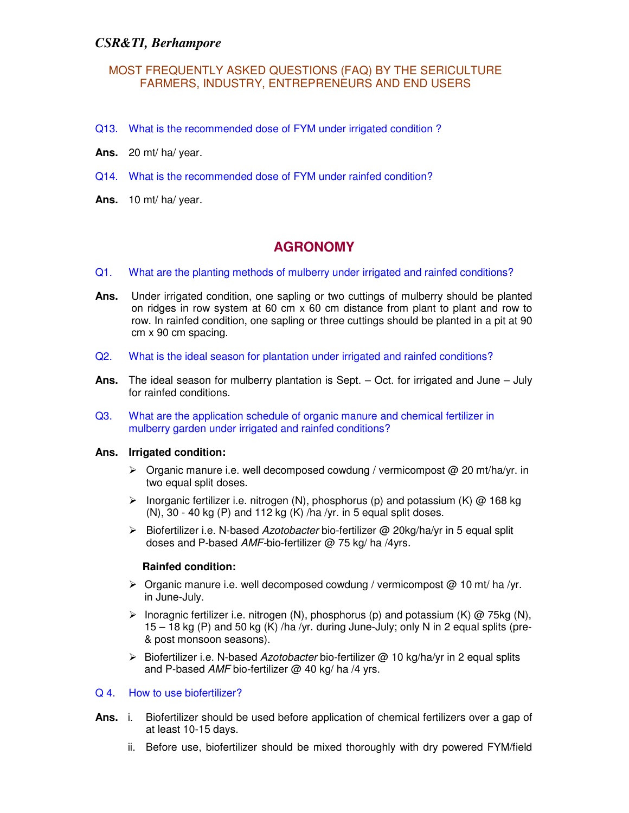#### MOST FREQUENTLY ASKED QUESTIONS (FAQ) BY THE SERICULTURE FARMERS, INDUSTRY, ENTREPRENEURS AND END USERS

- Q13. What is the recommended dose of FYM under irrigated condition ?
- **Ans.** 20 mt/ ha/ year.
- Q14. What is the recommended dose of FYM under rainfed condition?
- **Ans.** 10 mt/ ha/ year.

## **AGRONOMY**

- Q1. What are the planting methods of mulberry under irrigated and rainfed conditions?
- **Ans.** Under irrigated condition, one sapling or two cuttings of mulberry should be planted on ridges in row system at 60 cm x 60 cm distance from plant to plant and row to row. In rainfed condition, one sapling or three cuttings should be planted in a pit at 90 cm x 90 cm spacing.
- Q2. What is the ideal season for plantation under irrigated and rainfed conditions?
- **Ans.** The ideal season for mulberry plantation is Sept. Oct. for irrigated and June July for rainfed conditions.
- Q3. What are the application schedule of organic manure and chemical fertilizer in mulberry garden under irrigated and rainfed conditions?

#### **Ans. Irrigated condition:**

- $\triangleright$  Organic manure i.e. well decomposed cowdung / vermicompost @ 20 mt/ha/yr. in two equal split doses.
- Inorganic fertilizer i.e. nitrogen (N), phosphorus (p) and potassium (K)  $\omega$  168 kg  $(N)$ , 30 - 40 kg  $(P)$  and 112 kg  $(K)$  /ha /yr. in 5 equal split doses.
- $\triangleright$  Biofertilizer i.e. N-based Azotobacter bio-fertilizer @ 20kg/ha/yr in 5 equal split doses and P-based AMF-bio-fertilizer @ 75 kg/ ha /4yrs.

#### **Rainfed condition:**

- $\triangleright$  Organic manure i.e. well decomposed cowdung / vermicompost @ 10 mt/ ha /yr. in June-July.
- $\triangleright$  Inoragnic fertilizer i.e. nitrogen (N), phosphorus (p) and potassium (K) @ 75kg (N),  $15 - 18$  kg (P) and 50 kg (K) /ha /yr. during June-July; only N in 2 equal splits (pre-& post monsoon seasons).
- $\triangleright$  Biofertilizer i.e. N-based Azotobacter bio-fertilizer @ 10 kg/ha/yr in 2 equal splits and P-based AMF bio-fertilizer  $@$  40 kg/ ha /4 yrs.

#### Q 4. How to use biofertilizer?

- **Ans.** i. Biofertilizer should be used before application of chemical fertilizers over a gap of at least 10-15 days.
	- ii. Before use, biofertilizer should be mixed thoroughly with dry powered FYM/field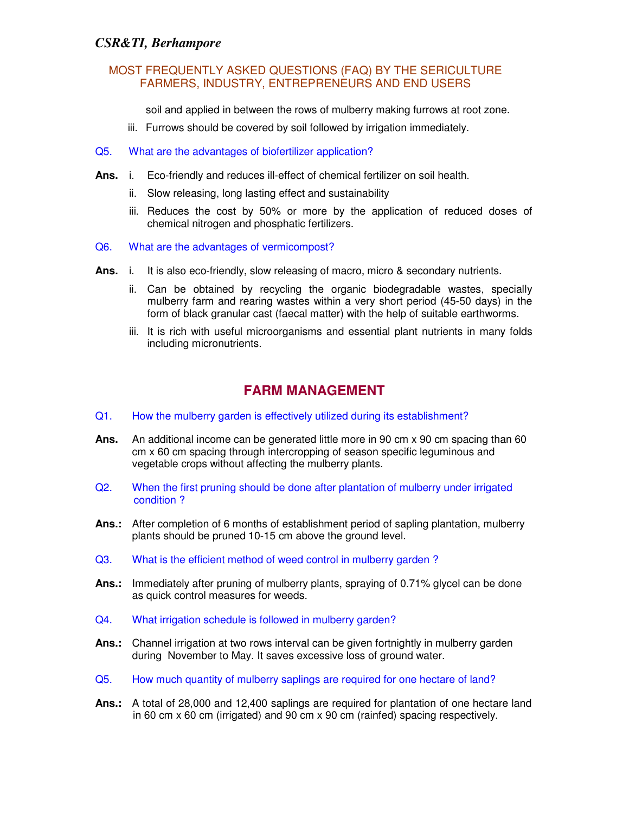#### MOST FREQUENTLY ASKED QUESTIONS (FAQ) BY THE SERICULTURE FARMERS, INDUSTRY, ENTREPRENEURS AND END USERS

soil and applied in between the rows of mulberry making furrows at root zone.

- iii. Furrows should be covered by soil followed by irrigation immediately.
- Q5. What are the advantages of biofertilizer application?
- **Ans.** i. Eco-friendly and reduces ill-effect of chemical fertilizer on soil health.
	- ii. Slow releasing, long lasting effect and sustainability
	- iii. Reduces the cost by 50% or more by the application of reduced doses of chemical nitrogen and phosphatic fertilizers.
- Q6. What are the advantages of vermicompost?
- Ans. i. It is also eco-friendly, slow releasing of macro, micro & secondary nutrients.
	- ii. Can be obtained by recycling the organic biodegradable wastes, specially mulberry farm and rearing wastes within a very short period (45-50 days) in the form of black granular cast (faecal matter) with the help of suitable earthworms.
	- iii. It is rich with useful microorganisms and essential plant nutrients in many folds including micronutrients.

## **FARM MANAGEMENT**

- Q1. How the mulberry garden is effectively utilized during its establishment?
- **Ans.** An additional income can be generated little more in 90 cm x 90 cm spacing than 60 cm x 60 cm spacing through intercropping of season specific leguminous and vegetable crops without affecting the mulberry plants.
- Q2. When the first pruning should be done after plantation of mulberry under irrigated condition ?
- **Ans.:** After completion of 6 months of establishment period of sapling plantation, mulberry plants should be pruned 10-15 cm above the ground level.
- Q3. What is the efficient method of weed control in mulberry garden ?
- **Ans.:** Immediately after pruning of mulberry plants, spraying of 0.71% glycel can be done as quick control measures for weeds.
- Q4. What irrigation schedule is followed in mulberry garden?
- **Ans.:** Channel irrigation at two rows interval can be given fortnightly in mulberry garden during November to May. It saves excessive loss of ground water.
- Q5. How much quantity of mulberry saplings are required for one hectare of land?
- **Ans.:** A total of 28,000 and 12,400 saplings are required for plantation of one hectare land in 60 cm x 60 cm (irrigated) and 90 cm x 90 cm (rainfed) spacing respectively.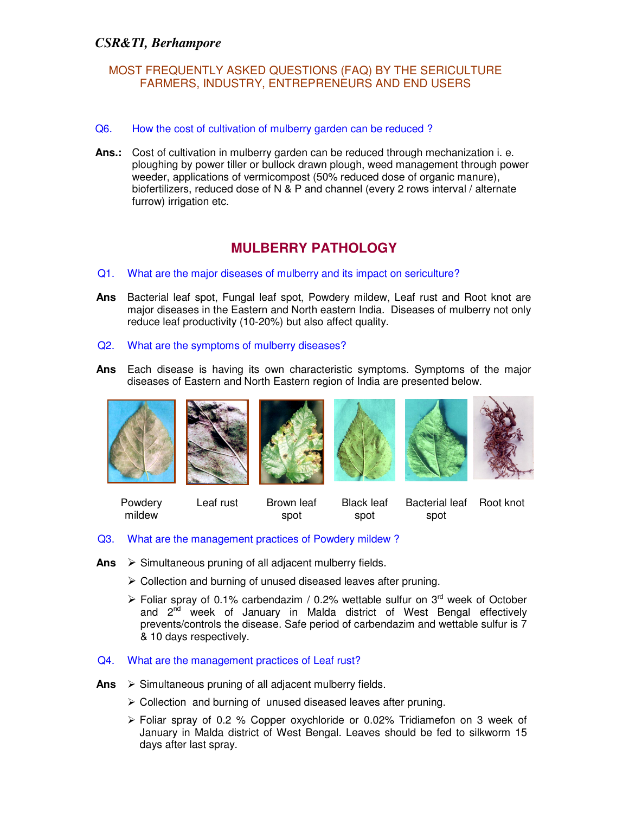- Q6. How the cost of cultivation of mulberry garden can be reduced ?
- **Ans.:** Cost of cultivation in mulberry garden can be reduced through mechanization i. e. ploughing by power tiller or bullock drawn plough, weed management through power weeder, applications of vermicompost (50% reduced dose of organic manure), biofertilizers, reduced dose of N & P and channel (every 2 rows interval / alternate furrow) irrigation etc.

## **MULBERRY PATHOLOGY**

- Q1. What are the major diseases of mulberry and its impact on sericulture?
- **Ans** Bacterial leaf spot, Fungal leaf spot, Powdery mildew, Leaf rust and Root knot are major diseases in the Eastern and North eastern India. Diseases of mulberry not only reduce leaf productivity (10-20%) but also affect quality.
- Q2. What are the symptoms of mulberry diseases?
- **Ans** Each disease is having its own characteristic symptoms. Symptoms of the major diseases of Eastern and North Eastern region of India are presented below.



Powdery mildew Leaf rust Brown leaf spot Black leaf spot Bacterial leaf Root knot spot

- Q3. What are the management practices of Powdery mildew ?
- Ans  $\triangleright$  Simultaneous pruning of all adjacent mulberry fields.
	- Collection and burning of unused diseased leaves after pruning.
	- Foliar spray of 0.1% carbendazim / 0.2% wettable sulfur on  $3<sup>rd</sup>$  week of October and 2<sup>nd</sup> week of January in Malda district of West Bengal effectively prevents/controls the disease. Safe period of carbendazim and wettable sulfur is 7 & 10 days respectively.

#### Q4. What are the management practices of Leaf rust?

- Ans > Simultaneous pruning of all adjacent mulberry fields.
	- Collection and burning of unused diseased leaves after pruning.
	- $\triangleright$  Foliar spray of 0.2 % Copper oxychloride or 0.02% Tridiamefon on 3 week of January in Malda district of West Bengal. Leaves should be fed to silkworm 15 days after last spray.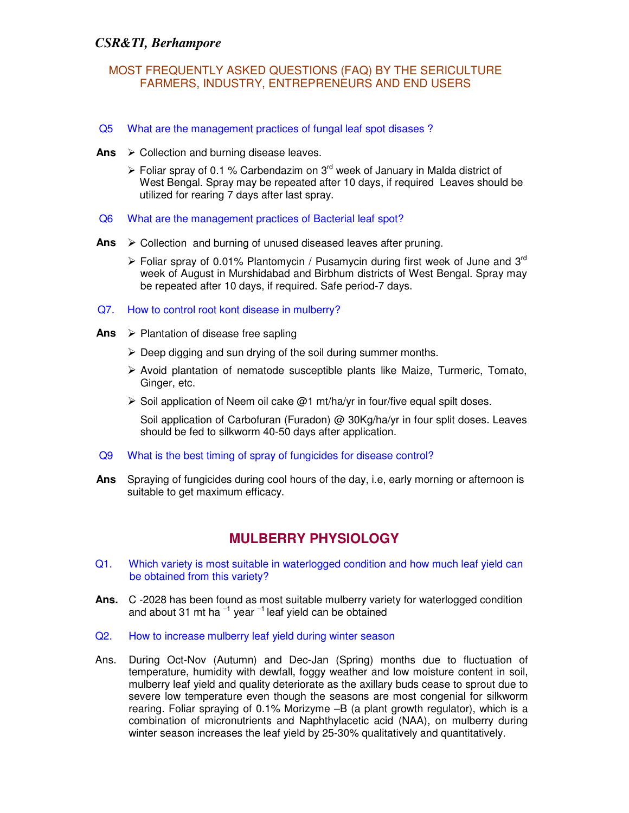#### MOST FREQUENTLY ASKED QUESTIONS (FAQ) BY THE SERICULTURE FARMERS, INDUSTRY, ENTREPRENEURS AND END USERS

- Q5 What are the management practices of fungal leaf spot disases ?
- Ans  $\triangleright$  Collection and burning disease leaves.
	- $\triangleright$  Foliar spray of 0.1 % Carbendazim on 3<sup>rd</sup> week of January in Malda district of West Bengal. Spray may be repeated after 10 days, if required Leaves should be utilized for rearing 7 days after last spray.
- Q6 What are the management practices of Bacterial leaf spot?
- Ans > Collection and burning of unused diseased leaves after pruning.
	- Foliar spray of 0.01% Plantomycin / Pusamycin during first week of June and 3<sup>rd</sup> week of August in Murshidabad and Birbhum districts of West Bengal. Spray may be repeated after 10 days, if required. Safe period-7 days.
- Q7. How to control root kont disease in mulberry?
- **Ans**  Plantation of disease free sapling
	- $\triangleright$  Deep digging and sun drying of the soil during summer months.
	- $\triangleright$  Avoid plantation of nematode susceptible plants like Maize, Turmeric, Tomato, Ginger, etc.
	- $\triangleright$  Soil application of Neem oil cake @1 mt/ha/yr in four/five equal spilt doses.

 Soil application of Carbofuran (Furadon) @ 30Kg/ha/yr in four split doses. Leaves should be fed to silkworm 40-50 days after application.

- Q9 What is the best timing of spray of fungicides for disease control?
- **Ans** Spraying of fungicides during cool hours of the day, i.e, early morning or afternoon is suitable to get maximum efficacy.

## **MULBERRY PHYSIOLOGY**

- Q1. Which variety is most suitable in waterlogged condition and how much leaf yield can be obtained from this variety?
- **Ans.** C -2028 has been found as most suitable mulberry variety for waterlogged condition and about 31 mt ha  $^{-1}$  year  $^{-1}$  leaf yield can be obtained
- Q2. How to increase mulberry leaf yield during winter season
- Ans. During Oct-Nov (Autumn) and Dec-Jan (Spring) months due to fluctuation of temperature, humidity with dewfall, foggy weather and low moisture content in soil, mulberry leaf yield and quality deteriorate as the axillary buds cease to sprout due to severe low temperature even though the seasons are most congenial for silkworm rearing. Foliar spraying of 0.1% Morizyme –B (a plant growth regulator), which is a combination of micronutrients and Naphthylacetic acid (NAA), on mulberry during winter season increases the leaf yield by 25-30% qualitatively and quantitatively.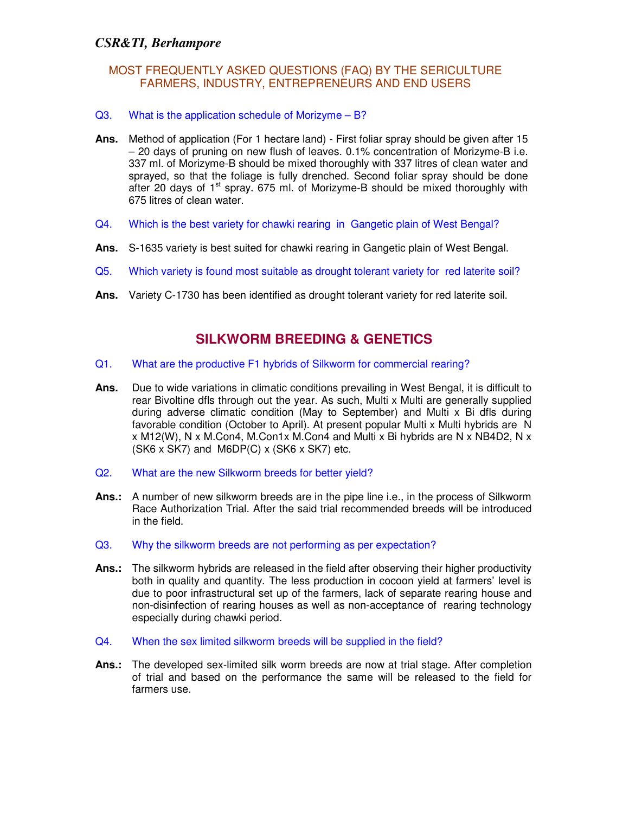#### MOST FREQUENTLY ASKED QUESTIONS (FAQ) BY THE SERICULTURE FARMERS, INDUSTRY, ENTREPRENEURS AND END USERS

#### Q3. What is the application schedule of Morizyme – B?

- **Ans.** Method of application (For 1 hectare land) First foliar spray should be given after 15 – 20 days of pruning on new flush of leaves. 0.1% concentration of Morizyme-B i.e. 337 ml. of Morizyme-B should be mixed thoroughly with 337 litres of clean water and sprayed, so that the foliage is fully drenched. Second foliar spray should be done after 20 days of  $1<sup>st</sup>$  spray. 675 ml. of Morizyme-B should be mixed thoroughly with 675 litres of clean water.
- Q4. Which is the best variety for chawki rearing in Gangetic plain of West Bengal?
- **Ans.** S-1635 variety is best suited for chawki rearing in Gangetic plain of West Bengal.
- Q5. Which variety is found most suitable as drought tolerant variety for red laterite soil?
- **Ans.** Variety C-1730 has been identified as drought tolerant variety for red laterite soil.

## **SILKWORM BREEDING & GENETICS**

- Q1. What are the productive F1 hybrids of Silkworm for commercial rearing?
- **Ans.** Due to wide variations in climatic conditions prevailing in West Bengal, it is difficult to rear Bivoltine dfls through out the year. As such, Multi x Multi are generally supplied during adverse climatic condition (May to September) and Multi x Bi dfls during favorable condition (October to April). At present popular Multi x Multi hybrids are N  $x$  M12(W), N  $x$  M.Con4, M.Con1 $x$  M.Con4 and Multi  $x$  Bi hybrids are N  $x$  NB4D2, N  $x$  $(SK6 x SK7)$  and M6DP $(C)$  x  $(SK6 x SK7)$  etc.
- Q2. What are the new Silkworm breeds for better yield?
- Ans.: A number of new silkworm breeds are in the pipe line i.e., in the process of Silkworm Race Authorization Trial. After the said trial recommended breeds will be introduced in the field.
- Q3. Why the silkworm breeds are not performing as per expectation?
- **Ans.:** The silkworm hybrids are released in the field after observing their higher productivity both in quality and quantity. The less production in cocoon yield at farmers' level is due to poor infrastructural set up of the farmers, lack of separate rearing house and non-disinfection of rearing houses as well as non-acceptance of rearing technology especially during chawki period.
- Q4. When the sex limited silkworm breeds will be supplied in the field?
- **Ans.:** The developed sex-limited silk worm breeds are now at trial stage. After completion of trial and based on the performance the same will be released to the field for farmers use.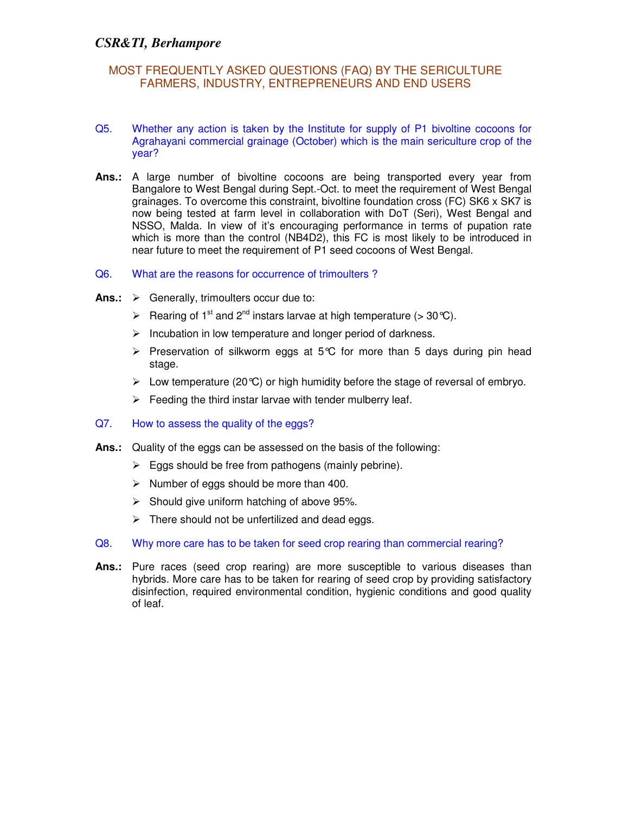- Q5. Whether any action is taken by the Institute for supply of P1 bivoltine cocoons for Agrahayani commercial grainage (October) which is the main sericulture crop of the year?
- **Ans.:** A large number of bivoltine cocoons are being transported every year from Bangalore to West Bengal during Sept.-Oct. to meet the requirement of West Bengal grainages. To overcome this constraint, bivoltine foundation cross (FC) SK6 x SK7 is now being tested at farm level in collaboration with DoT (Seri), West Bengal and NSSO, Malda. In view of it's encouraging performance in terms of pupation rate which is more than the control (NB4D2), this FC is most likely to be introduced in near future to meet the requirement of P1 seed cocoons of West Bengal.
- Q6. What are the reasons for occurrence of trimoulters ?
- Ans.:  $\triangleright$  Generally, trimoulters occur due to:
	- Exercing of 1<sup>st</sup> and 2<sup>nd</sup> instars larvae at high temperature (> 30 °C).
	- $\triangleright$  Incubation in low temperature and longer period of darkness.
	- Preservation of silkworm eggs at 5°C for more than 5 days during pin head stage.
	- $\triangleright$  Low temperature (20 °C) or high humidity before the stage of reversal of embryo.
	- $\triangleright$  Feeding the third instar larvae with tender mulberry leaf.
- Q7. How to assess the quality of the eggs?
- **Ans.:** Quality of the eggs can be assessed on the basis of the following:
	- $\triangleright$  Eggs should be free from pathogens (mainly pebrine).
	- $\triangleright$  Number of eggs should be more than 400.
	- $\triangleright$  Should give uniform hatching of above 95%.
	- $\triangleright$  There should not be unfertilized and dead eggs.
- Q8. Why more care has to be taken for seed crop rearing than commercial rearing?
- **Ans.:** Pure races (seed crop rearing) are more susceptible to various diseases than hybrids. More care has to be taken for rearing of seed crop by providing satisfactory disinfection, required environmental condition, hygienic conditions and good quality of leaf.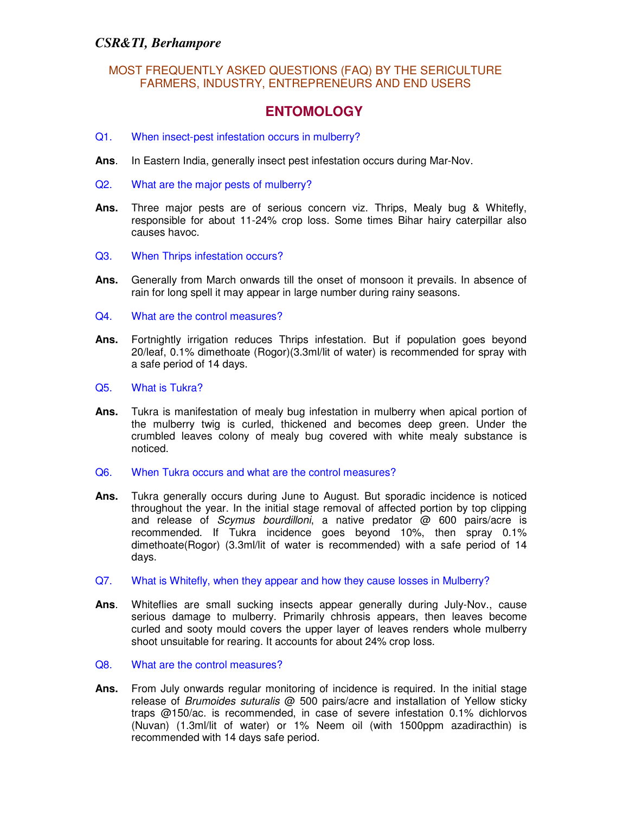#### MOST FREQUENTLY ASKED QUESTIONS (FAQ) BY THE SERICULTURE FARMERS, INDUSTRY, ENTREPRENEURS AND END USERS

## **ENTOMOLOGY**

- Q1. When insect-pest infestation occurs in mulberry?
- **Ans**. In Eastern India, generally insect pest infestation occurs during Mar-Nov.
- Q2. What are the major pests of mulberry?
- **Ans.** Three major pests are of serious concern viz. Thrips, Mealy bug & Whitefly, responsible for about 11-24% crop loss. Some times Bihar hairy caterpillar also causes havoc.
- Q3. When Thrips infestation occurs?
- **Ans.** Generally from March onwards till the onset of monsoon it prevails. In absence of rain for long spell it may appear in large number during rainy seasons.
- Q4. What are the control measures?
- **Ans.** Fortnightly irrigation reduces Thrips infestation. But if population goes beyond 20/leaf, 0.1% dimethoate (Rogor)(3.3ml/lit of water) is recommended for spray with a safe period of 14 days.
- Q5. What is Tukra?
- **Ans.** Tukra is manifestation of mealy bug infestation in mulberry when apical portion of the mulberry twig is curled, thickened and becomes deep green. Under the crumbled leaves colony of mealy bug covered with white mealy substance is noticed.
- Q6. When Tukra occurs and what are the control measures?
- **Ans.** Tukra generally occurs during June to August. But sporadic incidence is noticed throughout the year. In the initial stage removal of affected portion by top clipping and release of Scymus bourdilloni, a native predator @ 600 pairs/acre is recommended. If Tukra incidence goes beyond 10%, then spray 0.1% dimethoate(Rogor) (3.3ml/lit of water is recommended) with a safe period of 14 days.
- Q7. What is Whitefly, when they appear and how they cause losses in Mulberry?
- **Ans**. Whiteflies are small sucking insects appear generally during July-Nov., cause serious damage to mulberry. Primarily chhrosis appears, then leaves become curled and sooty mould covers the upper layer of leaves renders whole mulberry shoot unsuitable for rearing. It accounts for about 24% crop loss.
- Q8. What are the control measures?
- **Ans.** From July onwards regular monitoring of incidence is required. In the initial stage release of Brumoides suturalis  $\omega$  500 pairs/acre and installation of Yellow sticky traps @150/ac. is recommended, in case of severe infestation 0.1% dichlorvos (Nuvan) (1.3ml/lit of water) or 1% Neem oil (with 1500ppm azadiracthin) is recommended with 14 days safe period.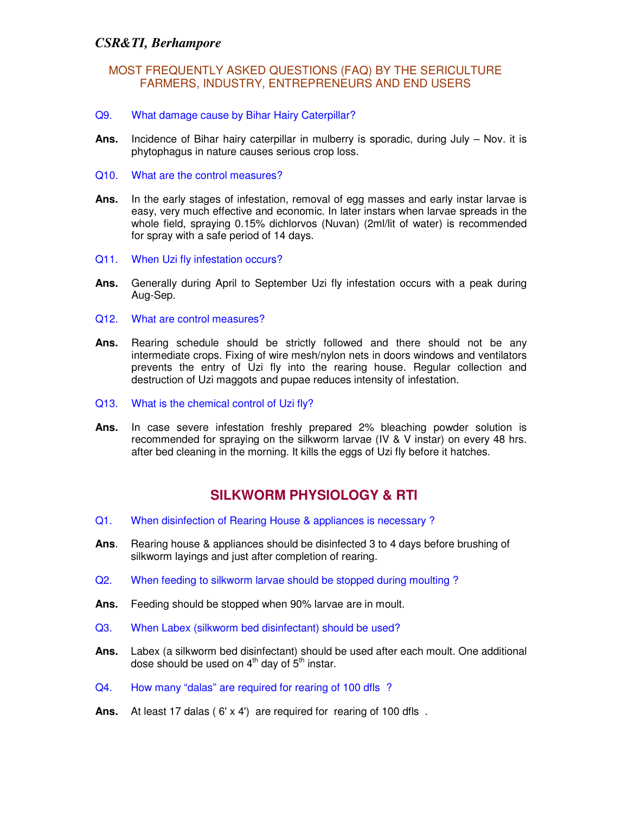### MOST FREQUENTLY ASKED QUESTIONS (FAQ) BY THE SERICULTURE FARMERS, INDUSTRY, ENTREPRENEURS AND END USERS

- Q9. What damage cause by Bihar Hairy Caterpillar?
- **Ans.** Incidence of Bihar hairy caterpillar in mulberry is sporadic, during July Nov. it is phytophagus in nature causes serious crop loss.
- Q10. What are the control measures?
- **Ans.** In the early stages of infestation, removal of egg masses and early instar larvae is easy, very much effective and economic. In later instars when larvae spreads in the whole field, spraying 0.15% dichlorvos (Nuvan) (2ml/lit of water) is recommended for spray with a safe period of 14 days.
- Q11. When Uzi fly infestation occurs?
- **Ans.** Generally during April to September Uzi fly infestation occurs with a peak during Aug-Sep.
- Q12. What are control measures?
- **Ans.** Rearing schedule should be strictly followed and there should not be any intermediate crops. Fixing of wire mesh/nylon nets in doors windows and ventilators prevents the entry of Uzi fly into the rearing house. Regular collection and destruction of Uzi maggots and pupae reduces intensity of infestation.
- Q13. What is the chemical control of Uzi fly?
- **Ans.** In case severe infestation freshly prepared 2% bleaching powder solution is recommended for spraying on the silkworm larvae (IV & V instar) on every 48 hrs. after bed cleaning in the morning. It kills the eggs of Uzi fly before it hatches.

### **SILKWORM PHYSIOLOGY & RTI**

- Q1. When disinfection of Rearing House & appliances is necessary ?
- **Ans**. Rearing house & appliances should be disinfected 3 to 4 days before brushing of silkworm layings and just after completion of rearing.
- Q2. When feeding to silkworm larvae should be stopped during moulting ?
- **Ans.** Feeding should be stopped when 90% larvae are in moult.
- Q3. When Labex (silkworm bed disinfectant) should be used?
- **Ans.** Labex (a silkworm bed disinfectant) should be used after each moult. One additional dose should be used on  $4<sup>th</sup>$  day of  $5<sup>th</sup>$  instar.
- Q4. How many "dalas" are required for rearing of 100 dfls ?
- Ans. At least 17 dalas (6' x 4') are required for rearing of 100 dfls.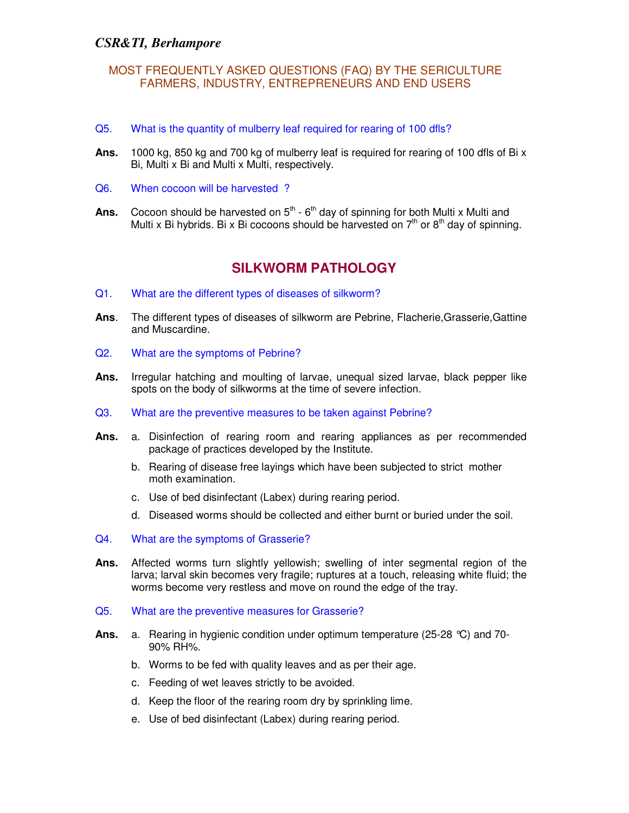- Q5. What is the quantity of mulberry leaf required for rearing of 100 dfls?
- **Ans.** 1000 kg, 850 kg and 700 kg of mulberry leaf is required for rearing of 100 dfls of Bi x Bi, Multi x Bi and Multi x Multi, respectively.
- Q6. When cocoon will be harvested ?
- Ans. Cocoon should be harvested on  $5<sup>th</sup>$   $6<sup>th</sup>$  day of spinning for both Multi x Multi and Multi x Bi hybrids. Bi x Bi cocoons should be harvested on  $7<sup>th</sup>$  or  $8<sup>th</sup>$  day of spinning.

## **SILKWORM PATHOLOGY**

- Q1. What are the different types of diseases of silkworm?
- **Ans**. The different types of diseases of silkworm are Pebrine, Flacherie,Grasserie,Gattine and Muscardine.
- Q2. What are the symptoms of Pebrine?
- **Ans.** Irregular hatching and moulting of larvae, unequal sized larvae, black pepper like spots on the body of silkworms at the time of severe infection.
- Q3. What are the preventive measures to be taken against Pebrine?
- **Ans.** a. Disinfection of rearing room and rearing appliances as per recommended package of practices developed by the Institute.
	- b. Rearing of disease free layings which have been subjected to strict mother moth examination.
	- c. Use of bed disinfectant (Labex) during rearing period.
	- d. Diseased worms should be collected and either burnt or buried under the soil.
- Q4. What are the symptoms of Grasserie?
- **Ans.** Affected worms turn slightly yellowish; swelling of inter segmental region of the larva; larval skin becomes very fragile; ruptures at a touch, releasing white fluid; the worms become very restless and move on round the edge of the tray.
- Q5. What are the preventive measures for Grasserie?
- **Ans.** a. Rearing in hygienic condition under optimum temperature (25-28 °C) and 70- 90% RH%.
	- b. Worms to be fed with quality leaves and as per their age.
	- c. Feeding of wet leaves strictly to be avoided.
	- d. Keep the floor of the rearing room dry by sprinkling lime.
	- e. Use of bed disinfectant (Labex) during rearing period.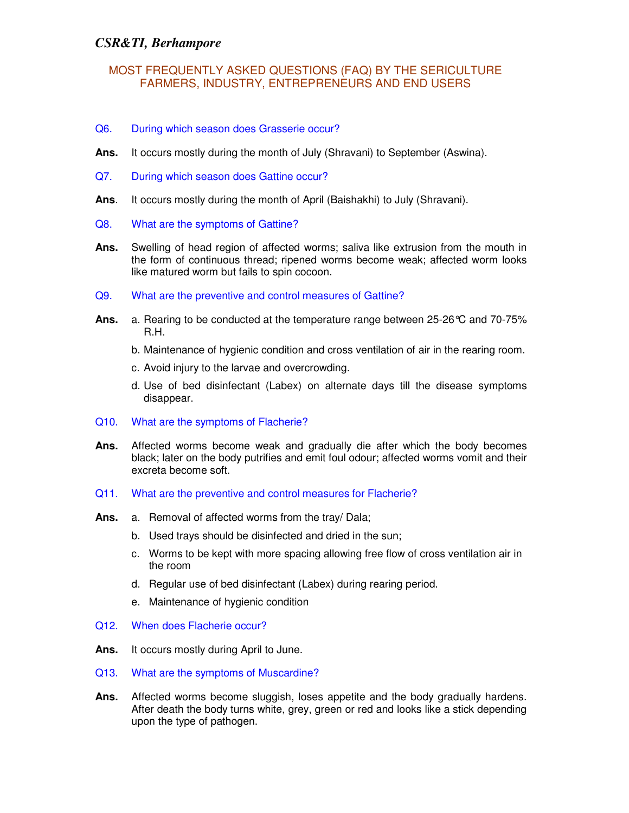#### MOST FREQUENTLY ASKED QUESTIONS (FAQ) BY THE SERICULTURE FARMERS, INDUSTRY, ENTREPRENEURS AND END USERS

- Q6. During which season does Grasserie occur?
- **Ans.** It occurs mostly during the month of July (Shravani) to September (Aswina).
- Q7. During which season does Gattine occur?
- **Ans**. It occurs mostly during the month of April (Baishakhi) to July (Shravani).
- Q8. What are the symptoms of Gattine?
- **Ans.** Swelling of head region of affected worms; saliva like extrusion from the mouth in the form of continuous thread; ripened worms become weak; affected worm looks like matured worm but fails to spin cocoon.
- Q9. What are the preventive and control measures of Gattine?
- **Ans.** a. Rearing to be conducted at the temperature range between 25-26°C and 70-75% R.H.
	- b. Maintenance of hygienic condition and cross ventilation of air in the rearing room.
	- c. Avoid injury to the larvae and overcrowding.
	- d. Use of bed disinfectant (Labex) on alternate days till the disease symptoms disappear.
- Q10. What are the symptoms of Flacherie?
- **Ans.** Affected worms become weak and gradually die after which the body becomes black; later on the body putrifies and emit foul odour; affected worms vomit and their excreta become soft.
- Q11. What are the preventive and control measures for Flacherie?
- **Ans.** a. Removal of affected worms from the tray/ Dala;
	- b. Used trays should be disinfected and dried in the sun;
	- c. Worms to be kept with more spacing allowing free flow of cross ventilation air in the room
	- d. Regular use of bed disinfectant (Labex) during rearing period.
	- e. Maintenance of hygienic condition
- Q12. When does Flacherie occur?
- **Ans.** It occurs mostly during April to June.
- Q13. What are the symptoms of Muscardine?
- **Ans.** Affected worms become sluggish, loses appetite and the body gradually hardens. After death the body turns white, grey, green or red and looks like a stick depending upon the type of pathogen.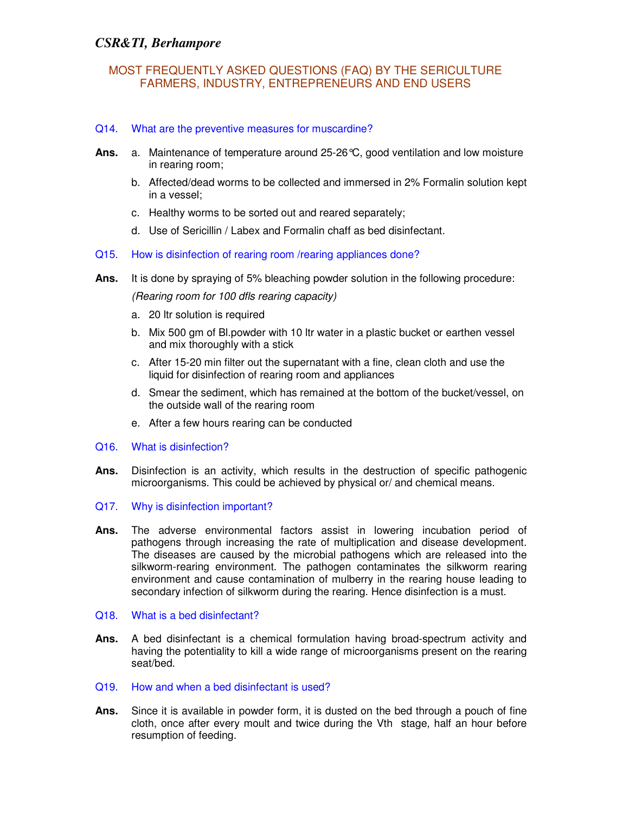#### Q14. What are the preventive measures for muscardine?

- **Ans.** a. Maintenance of temperature around 25-26°C, good ventilation and low moisture in rearing room;
	- b. Affected/dead worms to be collected and immersed in 2% Formalin solution kept in a vessel;
	- c. Healthy worms to be sorted out and reared separately;
	- d. Use of Sericillin / Labex and Formalin chaff as bed disinfectant.
- Q15. How is disinfection of rearing room /rearing appliances done?
- **Ans.** It is done by spraying of 5% bleaching powder solution in the following procedure:

(Rearing room for 100 dfls rearing capacity)

- a. 20 ltr solution is required
- b. Mix 500 gm of Bl.powder with 10 ltr water in a plastic bucket or earthen vessel and mix thoroughly with a stick
- c. After 15-20 min filter out the supernatant with a fine, clean cloth and use the liquid for disinfection of rearing room and appliances
- d. Smear the sediment, which has remained at the bottom of the bucket/vessel, on the outside wall of the rearing room
- e. After a few hours rearing can be conducted
- Q16. What is disinfection?
- **Ans.** Disinfection is an activity, which results in the destruction of specific pathogenic microorganisms. This could be achieved by physical or/ and chemical means.
- Q17. Why is disinfection important?
- **Ans.** The adverse environmental factors assist in lowering incubation period of pathogens through increasing the rate of multiplication and disease development. The diseases are caused by the microbial pathogens which are released into the silkworm-rearing environment. The pathogen contaminates the silkworm rearing environment and cause contamination of mulberry in the rearing house leading to secondary infection of silkworm during the rearing. Hence disinfection is a must.
- Q18. What is a bed disinfectant?
- **Ans.** A bed disinfectant is a chemical formulation having broad-spectrum activity and having the potentiality to kill a wide range of microorganisms present on the rearing seat/bed.
- Q19. How and when a bed disinfectant is used?
- **Ans.** Since it is available in powder form, it is dusted on the bed through a pouch of fine cloth, once after every moult and twice during the Vth stage, half an hour before resumption of feeding.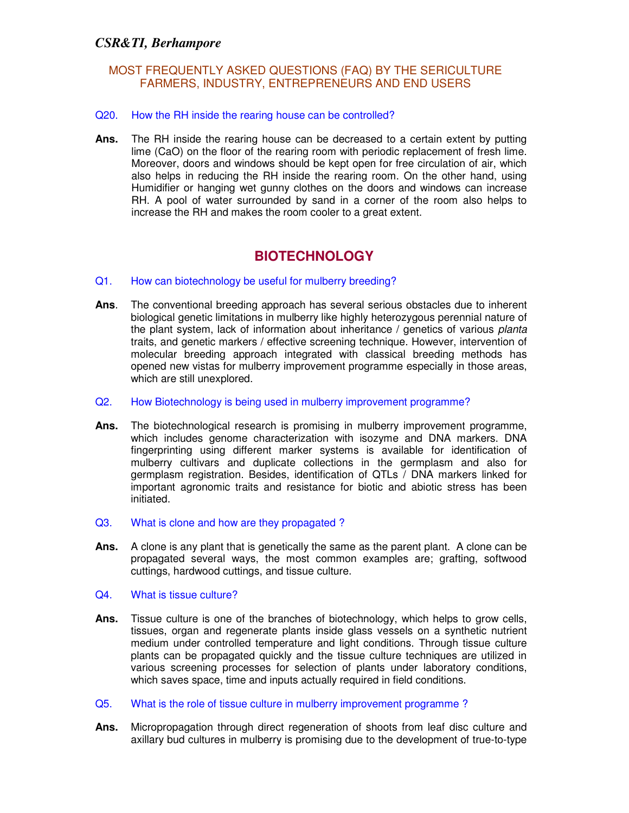#### Q20. How the RH inside the rearing house can be controlled?

**Ans.** The RH inside the rearing house can be decreased to a certain extent by putting lime (CaO) on the floor of the rearing room with periodic replacement of fresh lime. Moreover, doors and windows should be kept open for free circulation of air, which also helps in reducing the RH inside the rearing room. On the other hand, using Humidifier or hanging wet gunny clothes on the doors and windows can increase RH. A pool of water surrounded by sand in a corner of the room also helps to increase the RH and makes the room cooler to a great extent.

# **BIOTECHNOLOGY**

#### Q1. How can biotechnology be useful for mulberry breeding?

- **Ans**. The conventional breeding approach has several serious obstacles due to inherent biological genetic limitations in mulberry like highly heterozygous perennial nature of the plant system, lack of information about inheritance / genetics of various planta traits, and genetic markers / effective screening technique. However, intervention of molecular breeding approach integrated with classical breeding methods has opened new vistas for mulberry improvement programme especially in those areas, which are still unexplored.
- Q2. How Biotechnology is being used in mulberry improvement programme?
- **Ans.** The biotechnological research is promising in mulberry improvement programme, which includes genome characterization with isozyme and DNA markers. DNA fingerprinting using different marker systems is available for identification of mulberry cultivars and duplicate collections in the germplasm and also for germplasm registration. Besides, identification of QTLs / DNA markers linked for important agronomic traits and resistance for biotic and abiotic stress has been initiated.
- Q3. What is clone and how are they propagated ?
- **Ans.** A clone is any plant that is genetically the same as the parent plant. A clone can be propagated several ways, the most common examples are; grafting, softwood cuttings, hardwood cuttings, and tissue culture.
- Q4. What is tissue culture?
- **Ans.** Tissue culture is one of the branches of biotechnology, which helps to grow cells, tissues, organ and regenerate plants inside glass vessels on a synthetic nutrient medium under controlled temperature and light conditions. Through tissue culture plants can be propagated quickly and the tissue culture techniques are utilized in various screening processes for selection of plants under laboratory conditions, which saves space, time and inputs actually required in field conditions.
- Q5. What is the role of tissue culture in mulberry improvement programme ?
- **Ans.** Micropropagation through direct regeneration of shoots from leaf disc culture and axillary bud cultures in mulberry is promising due to the development of true-to-type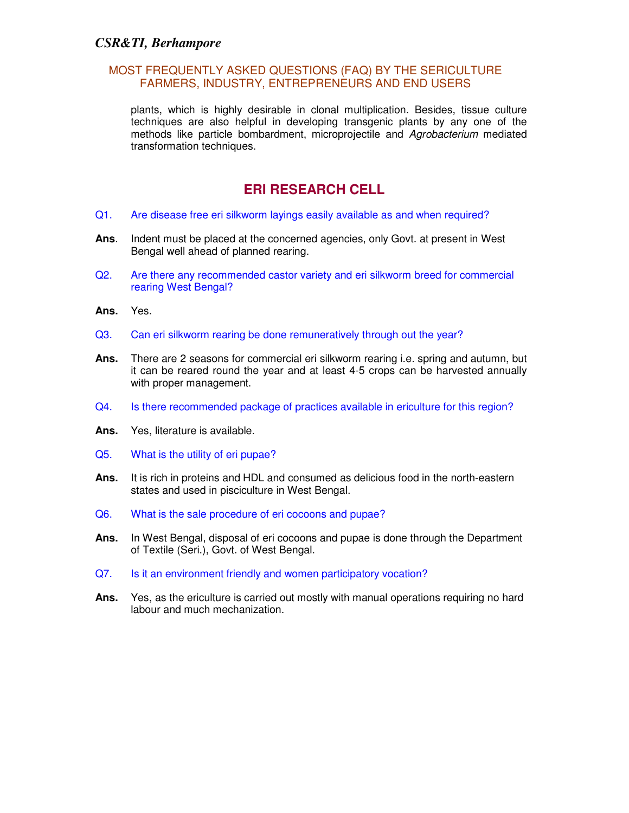plants, which is highly desirable in clonal multiplication. Besides, tissue culture techniques are also helpful in developing transgenic plants by any one of the methods like particle bombardment, microprojectile and Agrobacterium mediated transformation techniques.

# **ERI RESEARCH CELL**

- Q1. Are disease free eri silkworm layings easily available as and when required?
- **Ans**. Indent must be placed at the concerned agencies, only Govt. at present in West Bengal well ahead of planned rearing.
- Q2. Are there any recommended castor variety and eri silkworm breed for commercial rearing West Bengal?
- **Ans.** Yes.
- Q3. Can eri silkworm rearing be done remuneratively through out the year?
- **Ans.** There are 2 seasons for commercial eri silkworm rearing i.e. spring and autumn, but it can be reared round the year and at least 4-5 crops can be harvested annually with proper management.
- Q4. Is there recommended package of practices available in ericulture for this region?
- **Ans.** Yes, literature is available.
- Q5. What is the utility of eri pupae?
- **Ans.** It is rich in proteins and HDL and consumed as delicious food in the north-eastern states and used in pisciculture in West Bengal.
- Q6. What is the sale procedure of eri cocoons and pupae?
- **Ans.** In West Bengal, disposal of eri cocoons and pupae is done through the Department of Textile (Seri.), Govt. of West Bengal.
- Q7. Is it an environment friendly and women participatory vocation?
- **Ans.** Yes, as the ericulture is carried out mostly with manual operations requiring no hard labour and much mechanization.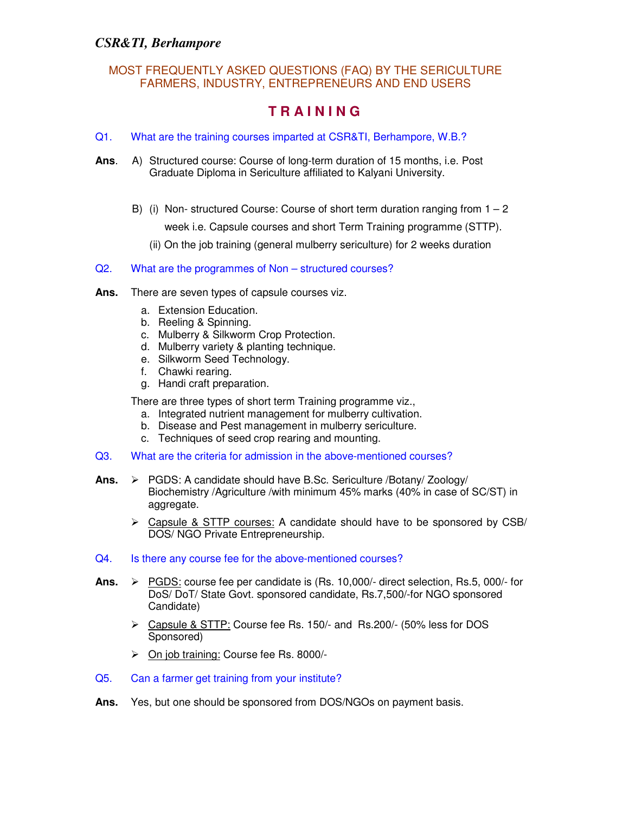#### MOST FREQUENTLY ASKED QUESTIONS (FAQ) BY THE SERICULTURE FARMERS, INDUSTRY, ENTREPRENEURS AND END USERS

## **T R A I N I N G**

- Q1. What are the training courses imparted at CSR&TI, Berhampore, W.B.?
- **Ans**. A) Structured course: Course of long-term duration of 15 months, i.e. Post Graduate Diploma in Sericulture affiliated to Kalyani University.
	- B) (i) Non-structured Course: Course of short term duration ranging from  $1 2$  week i.e. Capsule courses and short Term Training programme (STTP).
		- (ii) On the job training (general mulberry sericulture) for 2 weeks duration
- Q2. What are the programmes of Non structured courses?
- **Ans.** There are seven types of capsule courses viz.
	- a. Extension Education.
	- b. Reeling & Spinning.
	- c. Mulberry & Silkworm Crop Protection.
	- d. Mulberry variety & planting technique.
	- e. Silkworm Seed Technology.
	- f. Chawki rearing.
	- g. Handi craft preparation.

There are three types of short term Training programme viz.,

- a. Integrated nutrient management for mulberry cultivation.
- b. Disease and Pest management in mulberry sericulture.
- c. Techniques of seed crop rearing and mounting.
- Q3. What are the criteria for admission in the above-mentioned courses?
- Ans. > PGDS: A candidate should have B.Sc. Sericulture /Botany/ Zoology/ Biochemistry /Agriculture /with minimum 45% marks (40% in case of SC/ST) in aggregate.
	- $\triangleright$  Capsule & STTP courses: A candidate should have to be sponsored by CSB/ DOS/ NGO Private Entrepreneurship.
- Q4. Is there any course fee for the above-mentioned courses?
- **Ans.**  PGDS: course fee per candidate is (Rs. 10,000/- direct selection, Rs.5, 000/- for DoS/ DoT/ State Govt. sponsored candidate, Rs.7,500/-for NGO sponsored Candidate)
	- Capsule & STTP: Course fee Rs. 150/- and Rs.200/- (50% less for DOS Sponsored)
	- On job training: Course fee Rs. 8000/-
- Q5. Can a farmer get training from your institute?
- **Ans.** Yes, but one should be sponsored from DOS/NGOs on payment basis.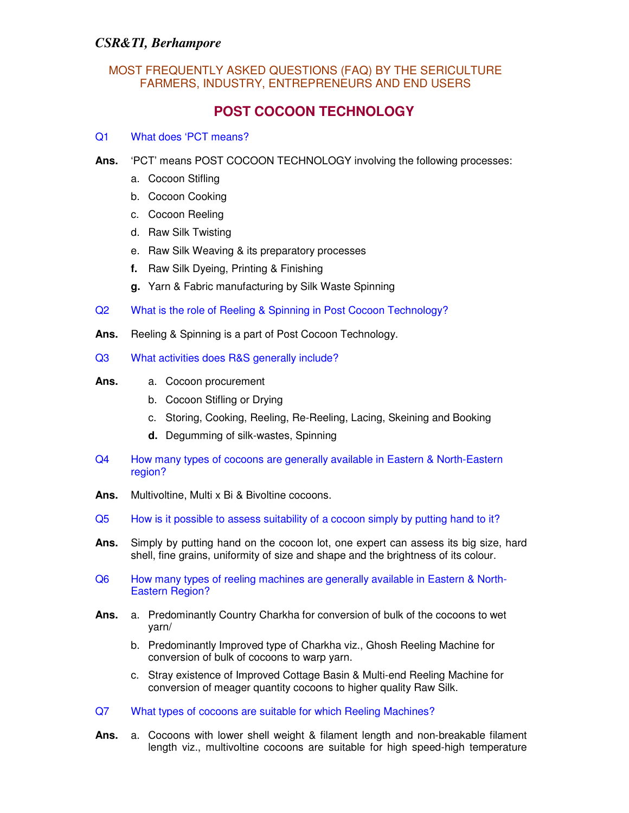#### MOST FREQUENTLY ASKED QUESTIONS (FAQ) BY THE SERICULTURE FARMERS, INDUSTRY, ENTREPRENEURS AND END USERS

## **POST COCOON TECHNOLOGY**

#### Q1 What does 'PCT means?

- **Ans.** 'PCT' means POST COCOON TECHNOLOGY involving the following processes:
	- a. Cocoon Stifling
	- b. Cocoon Cooking
	- c. Cocoon Reeling
	- d. Raw Silk Twisting
	- e. Raw Silk Weaving & its preparatory processes
	- **f.** Raw Silk Dyeing, Printing & Finishing
	- **g.** Yarn & Fabric manufacturing by Silk Waste Spinning
- Q2 What is the role of Reeling & Spinning in Post Cocoon Technology?
- **Ans.** Reeling & Spinning is a part of Post Cocoon Technology.
- Q3 What activities does R&S generally include?
- **Ans.** a. Cocoon procurement
	- b. Cocoon Stifling or Drying
	- c. Storing, Cooking, Reeling, Re-Reeling, Lacing, Skeining and Booking
	- **d.** Degumming of silk-wastes, Spinning
- Q4 How many types of cocoons are generally available in Eastern & North-Eastern region?
- **Ans.** Multivoltine, Multi x Bi & Bivoltine cocoons.
- Q5 How is it possible to assess suitability of a cocoon simply by putting hand to it?
- **Ans.** Simply by putting hand on the cocoon lot, one expert can assess its big size, hard shell, fine grains, uniformity of size and shape and the brightness of its colour.
- Q6 How many types of reeling machines are generally available in Eastern & North-Eastern Region?
- **Ans.** a. Predominantly Country Charkha for conversion of bulk of the cocoons to wet yarn/
	- b. Predominantly Improved type of Charkha viz., Ghosh Reeling Machine for conversion of bulk of cocoons to warp yarn.
	- c. Stray existence of Improved Cottage Basin & Multi-end Reeling Machine for conversion of meager quantity cocoons to higher quality Raw Silk.
- Q7 What types of cocoons are suitable for which Reeling Machines?
- **Ans.** a. Cocoons with lower shell weight & filament length and non-breakable filament length viz., multivoltine cocoons are suitable for high speed-high temperature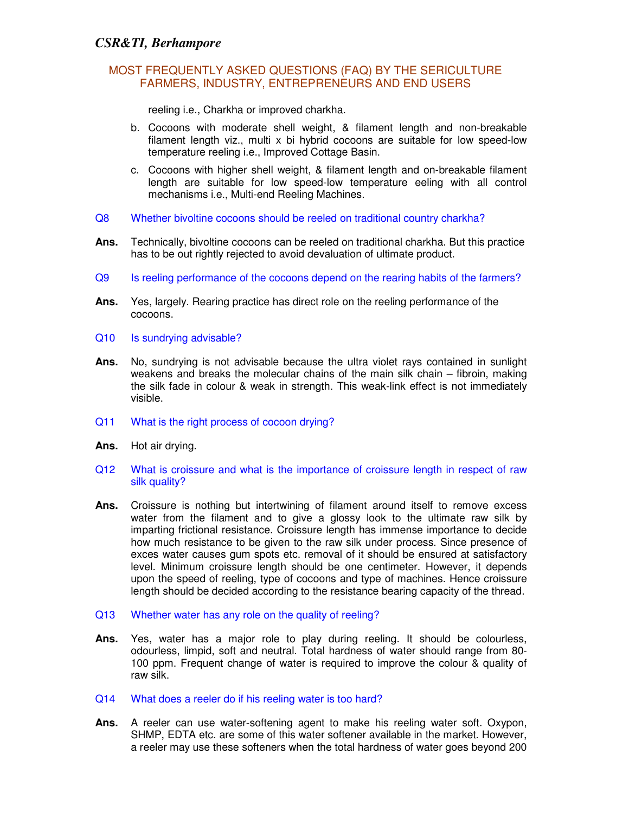reeling i.e., Charkha or improved charkha.

- b. Cocoons with moderate shell weight, & filament length and non-breakable filament length viz., multi x bi hybrid cocoons are suitable for low speed-low temperature reeling i.e., Improved Cottage Basin.
- c. Cocoons with higher shell weight, & filament length and on-breakable filament length are suitable for low speed-low temperature eeling with all control mechanisms i.e., Multi-end Reeling Machines.
- Q8 Whether bivoltine cocoons should be reeled on traditional country charkha?
- **Ans.** Technically, bivoltine cocoons can be reeled on traditional charkha. But this practice has to be out rightly rejected to avoid devaluation of ultimate product.
- Q9 Is reeling performance of the cocoons depend on the rearing habits of the farmers?
- **Ans.** Yes, largely. Rearing practice has direct role on the reeling performance of the cocoons.
- Q10 Is sundrying advisable?
- **Ans.** No, sundrying is not advisable because the ultra violet rays contained in sunlight weakens and breaks the molecular chains of the main silk chain – fibroin, making the silk fade in colour & weak in strength. This weak-link effect is not immediately visible.
- Q11 What is the right process of cocoon drying?
- **Ans.** Hot air drying.
- Q12 What is croissure and what is the importance of croissure length in respect of raw silk quality?
- Ans. Croissure is nothing but intertwining of filament around itself to remove excess water from the filament and to give a glossy look to the ultimate raw silk by imparting frictional resistance. Croissure length has immense importance to decide how much resistance to be given to the raw silk under process. Since presence of exces water causes gum spots etc. removal of it should be ensured at satisfactory level. Minimum croissure length should be one centimeter. However, it depends upon the speed of reeling, type of cocoons and type of machines. Hence croissure length should be decided according to the resistance bearing capacity of the thread.
- Q13 Whether water has any role on the quality of reeling?
- **Ans.** Yes, water has a major role to play during reeling. It should be colourless, odourless, limpid, soft and neutral. Total hardness of water should range from 80- 100 ppm. Frequent change of water is required to improve the colour & quality of raw silk.
- Q14 What does a reeler do if his reeling water is too hard?
- **Ans.** A reeler can use water-softening agent to make his reeling water soft. Oxypon, SHMP, EDTA etc. are some of this water softener available in the market. However, a reeler may use these softeners when the total hardness of water goes beyond 200